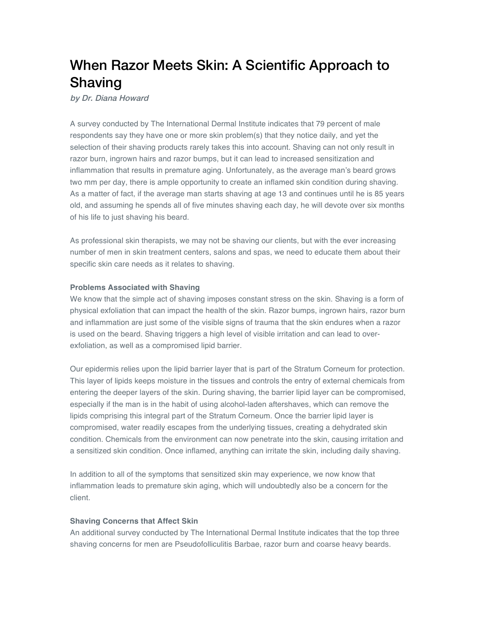# When Razor Meets Skin: A Scientific Approach to Shaving

by Dr. Diana Howard

A survey conducted by The International Dermal Institute indicates that 79 percent of male respondents say they have one or more skin problem(s) that they notice daily, and yet the selection of their shaving products rarely takes this into account. Shaving can not only result in razor burn, ingrown hairs and razor bumps, but it can lead to increased sensitization and inflammation that results in premature aging. Unfortunately, as the average man's beard grows two mm per day, there is ample opportunity to create an inflamed skin condition during shaving. As a matter of fact, if the average man starts shaving at age 13 and continues until he is 85 years old, and assuming he spends all of five minutes shaving each day, he will devote over six months of his life to just shaving his beard.

As professional skin therapists, we may not be shaving our clients, but with the ever increasing number of men in skin treatment centers, salons and spas, we need to educate them about their specific skin care needs as it relates to shaving.

## **Problems Associated with Shaving**

We know that the simple act of shaving imposes constant stress on the skin. Shaving is a form of physical exfoliation that can impact the health of the skin. Razor bumps, ingrown hairs, razor burn and inflammation are just some of the visible signs of trauma that the skin endures when a razor is used on the beard. Shaving triggers a high level of visible irritation and can lead to overexfoliation, as well as a compromised lipid barrier.

Our epidermis relies upon the lipid barrier layer that is part of the Stratum Corneum for protection. This layer of lipids keeps moisture in the tissues and controls the entry of external chemicals from entering the deeper layers of the skin. During shaving, the barrier lipid layer can be compromised, especially if the man is in the habit of using alcohol-laden aftershaves, which can remove the lipids comprising this integral part of the Stratum Corneum. Once the barrier lipid layer is compromised, water readily escapes from the underlying tissues, creating a dehydrated skin condition. Chemicals from the environment can now penetrate into the skin, causing irritation and a sensitized skin condition. Once inflamed, anything can irritate the skin, including daily shaving.

In addition to all of the symptoms that sensitized skin may experience, we now know that inflammation leads to premature skin aging, which will undoubtedly also be a concern for the client.

## **Shaving Concerns that Affect Skin**

An additional survey conducted by The International Dermal Institute indicates that the top three shaving concerns for men are Pseudofolliculitis Barbae, razor burn and coarse heavy beards.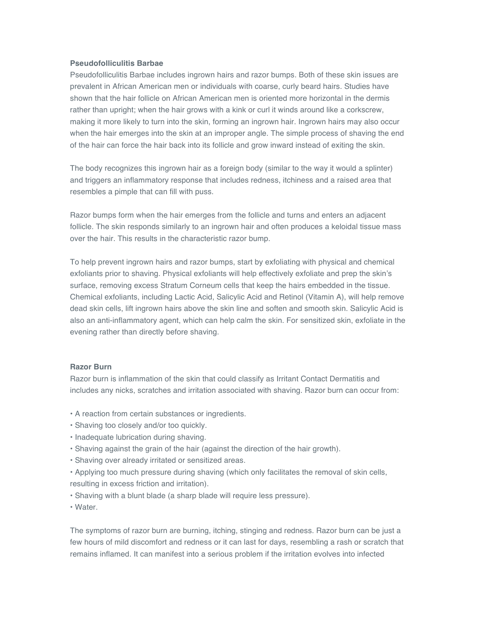#### **Pseudofolliculitis Barbae**

Pseudofolliculitis Barbae includes ingrown hairs and razor bumps. Both of these skin issues are prevalent in African American men or individuals with coarse, curly beard hairs. Studies have shown that the hair follicle on African American men is oriented more horizontal in the dermis rather than upright; when the hair grows with a kink or curl it winds around like a corkscrew, making it more likely to turn into the skin, forming an ingrown hair. Ingrown hairs may also occur when the hair emerges into the skin at an improper angle. The simple process of shaving the end of the hair can force the hair back into its follicle and grow inward instead of exiting the skin.

The body recognizes this ingrown hair as a foreign body (similar to the way it would a splinter) and triggers an inflammatory response that includes redness, itchiness and a raised area that resembles a pimple that can fill with puss.

Razor bumps form when the hair emerges from the follicle and turns and enters an adjacent follicle. The skin responds similarly to an ingrown hair and often produces a keloidal tissue mass over the hair. This results in the characteristic razor bump.

To help prevent ingrown hairs and razor bumps, start by exfoliating with physical and chemical exfoliants prior to shaving. Physical exfoliants will help effectively exfoliate and prep the skin's surface, removing excess Stratum Corneum cells that keep the hairs embedded in the tissue. Chemical exfoliants, including Lactic Acid, Salicylic Acid and Retinol (Vitamin A), will help remove dead skin cells, lift ingrown hairs above the skin line and soften and smooth skin. Salicylic Acid is also an anti-inflammatory agent, which can help calm the skin. For sensitized skin, exfoliate in the evening rather than directly before shaving.

#### **Razor Burn**

Razor burn is inflammation of the skin that could classify as Irritant Contact Dermatitis and includes any nicks, scratches and irritation associated with shaving. Razor burn can occur from:

- A reaction from certain substances or ingredients.
- Shaving too closely and/or too quickly.
- Inadequate lubrication during shaving.
- Shaving against the grain of the hair (against the direction of the hair growth).
- Shaving over already irritated or sensitized areas.
- Applying too much pressure during shaving (which only facilitates the removal of skin cells, resulting in excess friction and irritation).
- Shaving with a blunt blade (a sharp blade will require less pressure).
- Water.

The symptoms of razor burn are burning, itching, stinging and redness. Razor burn can be just a few hours of mild discomfort and redness or it can last for days, resembling a rash or scratch that remains inflamed. It can manifest into a serious problem if the irritation evolves into infected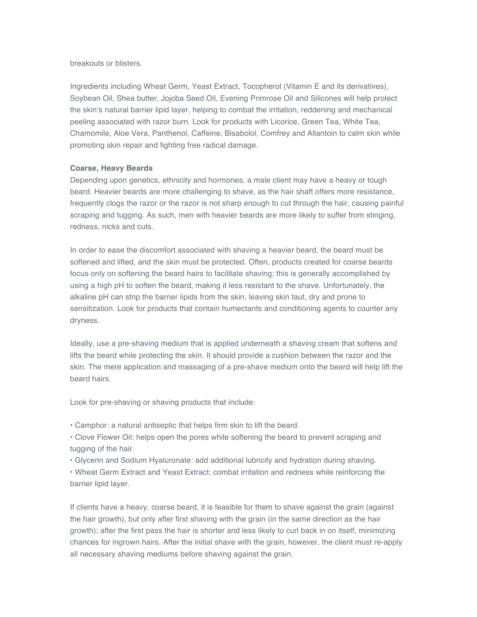breakouts or blisters.

Ingredients including Wheat Germ, Yeast Extract, Tocopherol (Vitamin E and its derivatives), Soybean Oil, Shea butter, Jojoba Seed Oil, Evening Primrose Oil and Silicones will help protect the skin's natural barrier lipid layer, helping to combat the irritation, reddening and mechanical peeling associated with razor burn. Look for products with Licorice, Green Tea, White Tea, Chamomile, Aloe Vera, Panthenol, Caffeine, Bisabolol, Comfrey and Allantoin to calm skin while promoting skin repair and fighting free radical damage.

#### **Coarse, Heavy Beards**

Depending upon genetics, ethnicity and hormones, a male client may have a heavy or tough beard. Heavier beards are more challenging to shave, as the hair shaft offers more resistance, frequently clogs the razor or the razor is not sharp enough to cut through the hair, causing painful scraping and tugging. As such, men with heavier beards are more likely to suffer from stinging, redness, nicks and cuts.

In order to ease the discomfort associated with shaving a heavier beard, the beard must be softened and lifted, and the skin must be protected. Often, products created for coarse beards focus only on softening the beard hairs to facilitate shaving; this is generally accomplished by using a high pH to soften the beard, making it less resistant to the shave. Unfortunately, the alkaline pH can strip the barrier lipids from the skin, leaving skin taut, dry and prone to sensitization. Look for products that contain humectants and conditioning agents to counter any dryness.

Ideally, use a pre-shaving medium that is applied underneath a shaving cream that softens and lifts the beard while protecting the skin. It should provide a cushion between the razor and the skin. The mere application and massaging of a pre-shave medium onto the beard will help lift the beard hairs.

Look for pre-shaving or shaving products that include:

• Camphor: a natural antiseptic that helps firm skin to lift the beard.

• Clove Flower Oil: helps open the pores while softening the beard to prevent scraping and tugging of the hair.

• Glycerin and Sodium Hyaluronate: add additional lubricity and hydration during shaving.

• Wheat Germ Extract and Yeast Extract: combat irritation and redness while reinforcing the barrier lipid layer.

If clients have a heavy, coarse beard, it is feasible for them to shave against the grain (against the hair growth), but only after first shaving with the grain (in the same direction as the hair growth); after the first pass the hair is shorter and less likely to curl back in on itself, minimizing chances for ingrown hairs. After the initial shave with the grain, however, the client must re-apply all necessary shaving mediums before shaving against the grain.